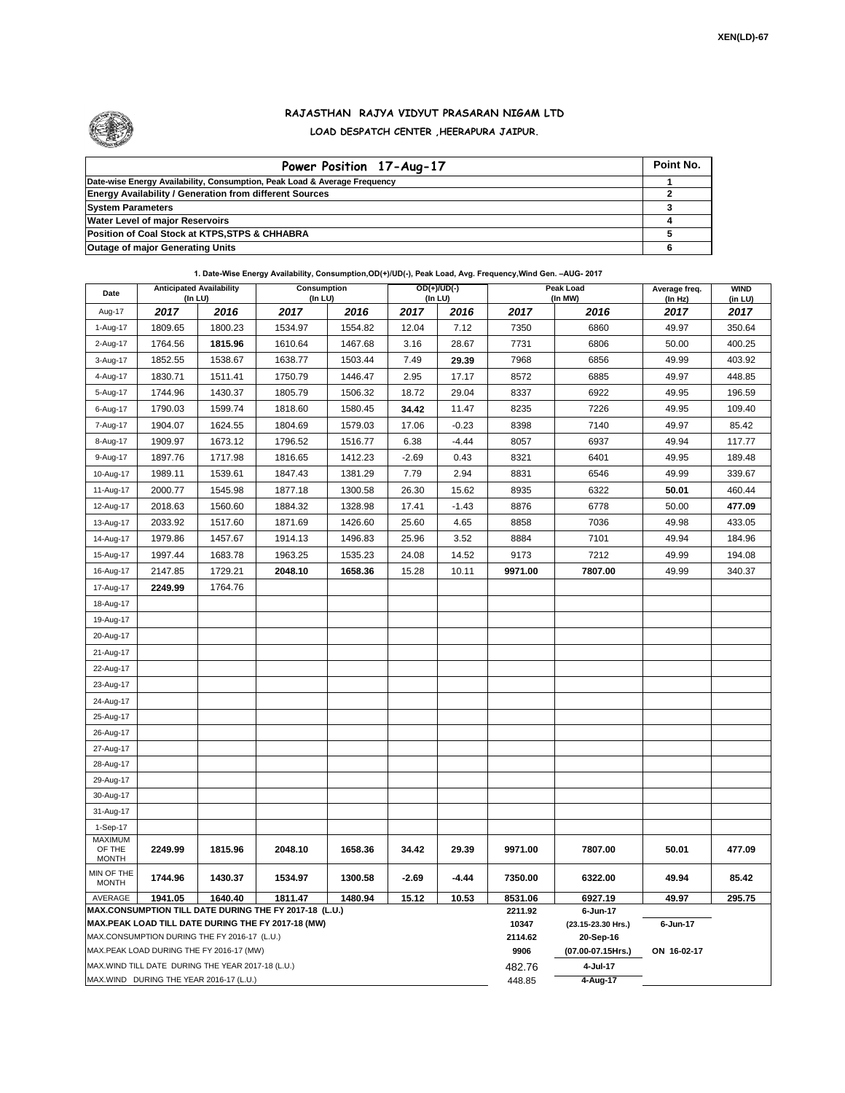

## **RAJASTHAN RAJYA VIDYUT PRASARAN NIGAM LTD LOAD DESPATCH CENTER ,HEERAPURA JAIPUR.**

| Power Position 17-Aug-17                                                  | Point No. |
|---------------------------------------------------------------------------|-----------|
| Date-wise Energy Availability, Consumption, Peak Load & Average Frequency |           |
| <b>Energy Availability / Generation from different Sources</b>            |           |
| <b>System Parameters</b>                                                  |           |
| <b>Water Level of major Reservoirs</b>                                    |           |
| Position of Coal Stock at KTPS, STPS & CHHABRA                            |           |
| <b>Outage of major Generating Units</b>                                   |           |

## **1. Date-Wise Energy Availability, Consumption,OD(+)/UD(-), Peak Load, Avg. Frequency,Wind Gen. –AUG- 2017**

| Date                                                                                                         | <b>Anticipated Availability</b><br>(In LU) |         | <b>Consumption</b><br>(In LU) |         | $OD(+)/UD(-)$<br>(In LU) |         |                    | Peak Load<br>(In MW) | Average freq.<br>(ln Hz) | <b>WIND</b><br>(in LU) |  |  |
|--------------------------------------------------------------------------------------------------------------|--------------------------------------------|---------|-------------------------------|---------|--------------------------|---------|--------------------|----------------------|--------------------------|------------------------|--|--|
| Aug-17                                                                                                       | 2017                                       | 2016    | 2017                          | 2016    | 2017                     | 2016    | 2017               | 2016                 | 2017                     | 2017                   |  |  |
| 1-Aug-17                                                                                                     | 1809.65                                    | 1800.23 | 1534.97                       | 1554.82 | 12.04                    | 7.12    | 7350               | 6860                 | 49.97                    | 350.64                 |  |  |
| 2-Aug-17                                                                                                     | 1764.56                                    | 1815.96 | 1610.64                       | 1467.68 | 3.16                     | 28.67   | 7731               | 6806                 | 50.00                    | 400.25                 |  |  |
| 3-Aug-17                                                                                                     | 1852.55                                    | 1538.67 | 1638.77                       | 1503.44 | 7.49                     | 29.39   | 7968               | 6856                 | 49.99                    | 403.92                 |  |  |
| 4-Aug-17                                                                                                     | 1830.71                                    | 1511.41 | 1750.79                       | 1446.47 | 2.95                     | 17.17   | 8572               | 6885                 | 49.97                    | 448.85                 |  |  |
| 5-Aug-17                                                                                                     | 1744.96                                    | 1430.37 | 1805.79                       | 1506.32 | 18.72                    | 29.04   | 8337               | 6922                 | 49.95                    | 196.59                 |  |  |
| 6-Aug-17                                                                                                     | 1790.03                                    | 1599.74 | 1818.60                       | 1580.45 | 34.42                    | 11.47   | 8235               | 7226                 | 49.95                    | 109.40                 |  |  |
| 7-Aug-17                                                                                                     | 1904.07                                    | 1624.55 | 1804.69                       | 1579.03 | 17.06                    | $-0.23$ | 8398               | 7140                 | 49.97                    | 85.42                  |  |  |
| 8-Aug-17                                                                                                     | 1909.97                                    | 1673.12 | 1796.52                       | 1516.77 | 6.38                     | $-4.44$ | 8057               | 6937                 | 49.94                    | 117.77                 |  |  |
| 9-Aug-17                                                                                                     | 1897.76                                    | 1717.98 | 1816.65                       | 1412.23 | $-2.69$                  | 0.43    | 8321               | 6401                 | 49.95                    | 189.48                 |  |  |
| 10-Aug-17                                                                                                    | 1989.11                                    | 1539.61 | 1847.43                       | 1381.29 | 7.79                     | 2.94    | 8831               | 6546                 | 49.99                    | 339.67                 |  |  |
| 11-Aug-17                                                                                                    | 2000.77                                    | 1545.98 | 1877.18                       | 1300.58 | 26.30                    | 15.62   | 8935               | 6322                 | 50.01                    | 460.44                 |  |  |
| 12-Aug-17                                                                                                    | 2018.63                                    | 1560.60 | 1884.32                       | 1328.98 | 17.41                    | $-1.43$ | 8876               | 6778                 | 50.00                    | 477.09                 |  |  |
| 13-Aug-17                                                                                                    | 2033.92                                    | 1517.60 | 1871.69                       | 1426.60 | 25.60                    | 4.65    | 8858               | 7036                 | 49.98                    | 433.05                 |  |  |
| 14-Aug-17                                                                                                    | 1979.86                                    | 1457.67 | 1914.13                       | 1496.83 | 25.96                    | 3.52    | 8884               | 7101                 | 49.94                    | 184.96                 |  |  |
| 15-Aug-17                                                                                                    | 1997.44                                    | 1683.78 | 1963.25                       | 1535.23 | 24.08                    | 14.52   | 9173               | 7212                 | 49.99                    | 194.08                 |  |  |
| 16-Aug-17                                                                                                    | 2147.85                                    | 1729.21 | 2048.10                       | 1658.36 | 15.28                    | 10.11   | 9971.00            | 7807.00              | 49.99                    | 340.37                 |  |  |
| 17-Aug-17                                                                                                    | 2249.99                                    | 1764.76 |                               |         |                          |         |                    |                      |                          |                        |  |  |
| 18-Aug-17                                                                                                    |                                            |         |                               |         |                          |         |                    |                      |                          |                        |  |  |
| 19-Aug-17                                                                                                    |                                            |         |                               |         |                          |         |                    |                      |                          |                        |  |  |
| 20-Aug-17                                                                                                    |                                            |         |                               |         |                          |         |                    |                      |                          |                        |  |  |
| 21-Aug-17                                                                                                    |                                            |         |                               |         |                          |         |                    |                      |                          |                        |  |  |
| 22-Aug-17                                                                                                    |                                            |         |                               |         |                          |         |                    |                      |                          |                        |  |  |
| 23-Aug-17                                                                                                    |                                            |         |                               |         |                          |         |                    |                      |                          |                        |  |  |
| 24-Aug-17                                                                                                    |                                            |         |                               |         |                          |         |                    |                      |                          |                        |  |  |
| 25-Aug-17                                                                                                    |                                            |         |                               |         |                          |         |                    |                      |                          |                        |  |  |
| 26-Aug-17                                                                                                    |                                            |         |                               |         |                          |         |                    |                      |                          |                        |  |  |
| 27-Aug-17                                                                                                    |                                            |         |                               |         |                          |         |                    |                      |                          |                        |  |  |
| 28-Aug-17                                                                                                    |                                            |         |                               |         |                          |         |                    |                      |                          |                        |  |  |
| 29-Aug-17                                                                                                    |                                            |         |                               |         |                          |         |                    |                      |                          |                        |  |  |
| 30-Aug-17                                                                                                    |                                            |         |                               |         |                          |         |                    |                      |                          |                        |  |  |
| 31-Aug-17                                                                                                    |                                            |         |                               |         |                          |         |                    |                      |                          |                        |  |  |
| 1-Sep-17<br><b>MAXIMUM</b>                                                                                   |                                            |         |                               |         |                          |         |                    |                      |                          |                        |  |  |
| OF THE                                                                                                       | 2249.99                                    | 1815.96 | 2048.10                       | 1658.36 | 34.42                    | 29.39   | 9971.00            | 7807.00              | 50.01                    | 477.09                 |  |  |
| <b>MONTH</b>                                                                                                 |                                            |         |                               |         |                          |         |                    |                      |                          |                        |  |  |
| MIN OF THE<br><b>MONTH</b>                                                                                   | 1744.96                                    | 1430.37 | 1534.97                       | 1300.58 | $-2.69$                  | -4.44   | 7350.00            | 6322.00              | 49.94                    | 85.42                  |  |  |
| AVERAGE                                                                                                      | 1941.05                                    | 1640.40 | 1811.47                       | 1480.94 | 15.12                    | 10.53   | 8531.06<br>2211.92 | 6927.19<br>6-Jun-17  | 49.97                    | 295.75                 |  |  |
| MAX.CONSUMPTION TILL DATE DURING THE FY 2017-18 (L.U.)<br>MAX.PEAK LOAD TILL DATE DURING THE FY 2017-18 (MW) |                                            |         |                               |         |                          |         | 10347              | (23.15-23.30 Hrs.)   | 6-Jun-17                 |                        |  |  |
| MAX.CONSUMPTION DURING THE FY 2016-17 (L.U.)                                                                 |                                            |         |                               |         |                          |         | 2114.62            | 20-Sep-16            |                          |                        |  |  |
| MAX.PEAK LOAD DURING THE FY 2016-17 (MW)                                                                     |                                            |         |                               |         |                          |         | 9906               | (07.00-07.15Hrs.)    | ON 16-02-17              |                        |  |  |
| MAX.WIND TILL DATE DURING THE YEAR 2017-18 (L.U.)                                                            |                                            |         |                               |         |                          |         | 482.76<br>448.85   | 4-Jul-17             |                          |                        |  |  |
| MAX.WIND DURING THE YEAR 2016-17 (L.U.)                                                                      |                                            |         |                               |         |                          |         |                    | 4-Aug-17             |                          |                        |  |  |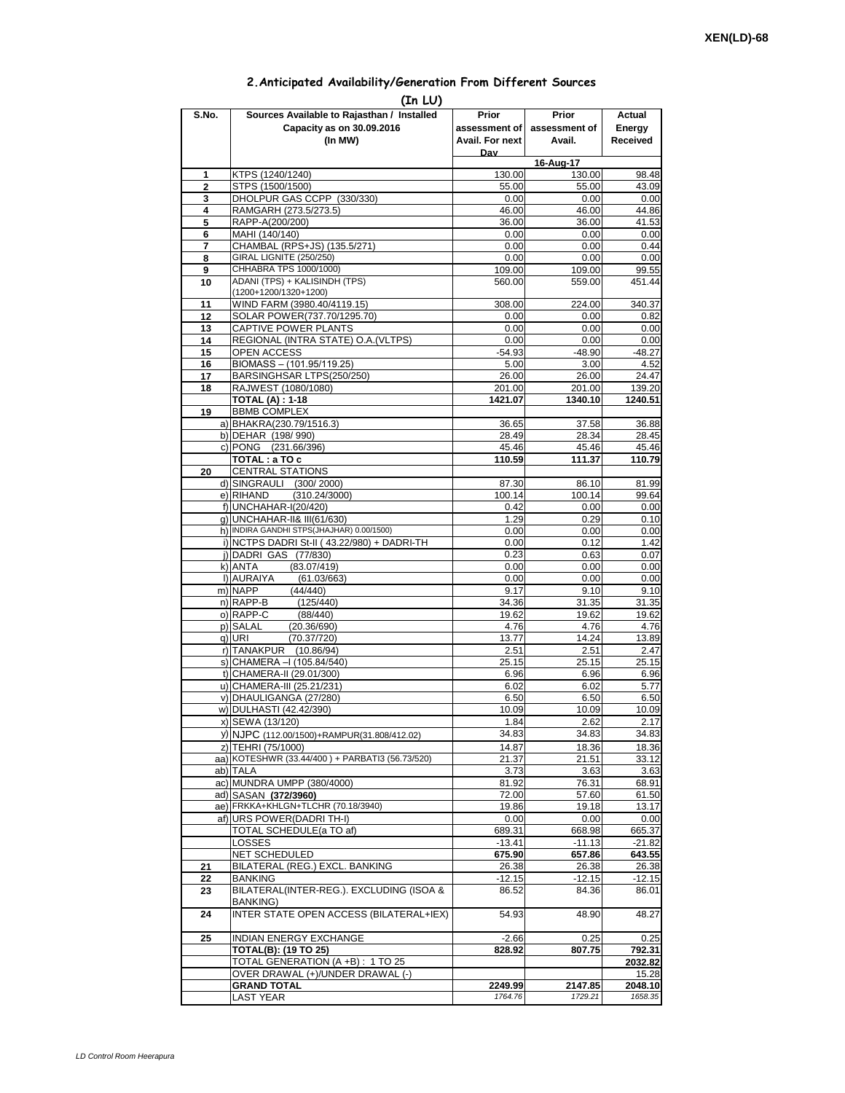## **2.Anticipated Availability/Generation From Different Sources**

| (In LU)        |                                                                          |                    |                     |                    |  |  |  |  |  |  |
|----------------|--------------------------------------------------------------------------|--------------------|---------------------|--------------------|--|--|--|--|--|--|
| S.No.          | Sources Available to Rajasthan / Installed                               | Prior              | Prior               | Actual             |  |  |  |  |  |  |
|                | Capacity as on 30.09.2016                                                | assessment of I    | assessment of       | Energy             |  |  |  |  |  |  |
|                | (In MW)                                                                  | Avail. For next    | Avail.              | Received           |  |  |  |  |  |  |
|                |                                                                          | Dav                |                     |                    |  |  |  |  |  |  |
| 1              | KTPS (1240/1240)                                                         | 130.00             | 16-Aug-17<br>130.00 | 98.48              |  |  |  |  |  |  |
| $\overline{2}$ | STPS (1500/1500)                                                         | 55.00              | 55.00               | 43.09              |  |  |  |  |  |  |
| 3              | DHOLPUR GAS CCPP (330/330)                                               | 0.00               | 0.00                | 0.00               |  |  |  |  |  |  |
| 4              | RAMGARH (273.5/273.5)                                                    | 46.00              | 46.00               | 44.86              |  |  |  |  |  |  |
| 5              | RAPP-A(200/200)                                                          | 36.00              | 36.00               | 41.53              |  |  |  |  |  |  |
| 6              | MAHI (140/140)                                                           | 0.00               | 0.00                | 0.00               |  |  |  |  |  |  |
| 7<br>8         | CHAMBAL (RPS+JS) (135.5/271)<br>GIRAL LIGNITE (250/250)                  | 0.00<br>0.00       | 0.00<br>0.00        | 0.44<br>0.00       |  |  |  |  |  |  |
| 9              | CHHABRA TPS 1000/1000)                                                   | 109.00             | 109.00              | 99.55              |  |  |  |  |  |  |
| 10             | ADANI (TPS) + KALISINDH (TPS)                                            | 560.00             | 559.00              | 451.44             |  |  |  |  |  |  |
|                | (1200+1200/1320+1200)                                                    |                    |                     |                    |  |  |  |  |  |  |
| 11             | WIND FARM (3980.40/4119.15)                                              | 308.00             | 224.00              | 340.37             |  |  |  |  |  |  |
| 12             | SOLAR POWER(737.70/1295.70)                                              | 0.00               | 0.00                | 0.82               |  |  |  |  |  |  |
| 13<br>14       | CAPTIVE POWER PLANTS<br>REGIONAL (INTRA STATE) O.A. (VLTPS)              | 0.00<br>0.00       | 0.00<br>0.00        | 0.00<br>0.00       |  |  |  |  |  |  |
| 15             | <b>OPEN ACCESS</b>                                                       | $-54.93$           | $-48.90$            | $-48.27$           |  |  |  |  |  |  |
| 16             | BIOMASS - (101.95/119.25)                                                | 5.00               | 3.00                | 4.52               |  |  |  |  |  |  |
| 17             | BARSINGHSAR LTPS(250/250)                                                | 26.00              | 26.00               | 24.47              |  |  |  |  |  |  |
| 18             | RAJWEST (1080/1080)                                                      | 201.00             | 201.00              | 139.20             |  |  |  |  |  |  |
|                | <b>TOTAL (A): 1-18</b>                                                   | 1421.07            | 1340.10             | 1240.51            |  |  |  |  |  |  |
| 19             | <b>BBMB COMPLEX</b>                                                      |                    |                     |                    |  |  |  |  |  |  |
|                | a) BHAKRA(230.79/1516.3)<br>b) DEHAR (198/990)                           | 36.65<br>28.49     | 37.58<br>28.34      | 36.88<br>28.45     |  |  |  |  |  |  |
|                | c) PONG (231.66/396)                                                     | 45.46              | 45.46               | 45.46              |  |  |  |  |  |  |
|                | TOTAL: a TO c                                                            | 110.59             | 111.37              | 110.79             |  |  |  |  |  |  |
| 20             | <b>CENTRAL STATIONS</b>                                                  |                    |                     |                    |  |  |  |  |  |  |
|                | d) SINGRAULI (300/2000)                                                  | 87.30              | 86.10               | 81.99              |  |  |  |  |  |  |
|                | e) RIHAND<br>(310.24/3000)                                               | 100.14             | 100.14              | 99.64              |  |  |  |  |  |  |
|                | f) UNCHAHAR-I(20/420)                                                    | 0.42               | 0.00                | 0.00               |  |  |  |  |  |  |
|                | g) UNCHAHAR-II& III(61/630)<br>h) INDIRA GANDHI STPS(JHAJHAR) 0.00/1500) | 1.29<br>0.00       | 0.29<br>0.00        | 0.10               |  |  |  |  |  |  |
|                | i) NCTPS DADRI St-II (43.22/980) + DADRI-TH                              | 0.00               | 0.12                | 0.00<br>1.42       |  |  |  |  |  |  |
|                | i) DADRI GAS (77/830)                                                    | 0.23               | 0.63                | 0.07               |  |  |  |  |  |  |
|                | k) ANTA<br>(83.07/419)                                                   | 0.00               | 0.00                | 0.00               |  |  |  |  |  |  |
|                | I) AURAIYA<br>(61.03/663)                                                | 0.00               | 0.00                | 0.00               |  |  |  |  |  |  |
|                | m) NAPP<br>(44/440)                                                      | 9.17               | 9.10                | 9.10               |  |  |  |  |  |  |
|                | n) RAPP-B<br>(125/440)                                                   | 34.36              | 31.35               | 31.35              |  |  |  |  |  |  |
|                | o) RAPP-C<br>(88/440)<br>p) SALAL<br>(20.36/690)                         | 19.62<br>4.76      | 19.62<br>4.76       | 19.62<br>4.76      |  |  |  |  |  |  |
|                | q) URI<br>(70.37/720)                                                    | 13.77              | 14.24               | 13.89              |  |  |  |  |  |  |
|                | r) TANAKPUR<br>(10.86/94)                                                | 2.51               | 2.51                | 2.47               |  |  |  |  |  |  |
|                | s) CHAMERA - (105.84/540)                                                | 25.15              | 25.15               | 25.15              |  |  |  |  |  |  |
|                | t) CHAMERA-II (29.01/300)                                                | 6.96               | 6.96                | 6.96               |  |  |  |  |  |  |
|                | u) CHAMERA-III (25.21/231)                                               | 6.02               | 6.02                | 5.77               |  |  |  |  |  |  |
|                | v) DHAULIGANGA (27/280)                                                  | 6.50               | 6.50                | 6.50               |  |  |  |  |  |  |
|                | w) DULHASTI (42.42/390)<br>x) SEWA (13/120)                              | 10.09<br>1.84      | 10.09<br>2.62       | 10.09<br>2.17      |  |  |  |  |  |  |
|                | y) NJPC (112.00/1500)+RAMPUR(31.808/412.02)                              | 34.83              | 34.83               | 34.83              |  |  |  |  |  |  |
|                | z) TEHRI (75/1000)                                                       | 14.87              | 18.36               | 18.36              |  |  |  |  |  |  |
|                | aa) KOTESHWR (33.44/400) + PARBATI3 (56.73/520)                          | 21.37              | 21.51               | 33.12              |  |  |  |  |  |  |
|                | ab) TALA                                                                 | 3.73               | 3.63                | 3.63               |  |  |  |  |  |  |
|                | ac) MUNDRA UMPP (380/4000)                                               | 81.92              | 76.31               | 68.91              |  |  |  |  |  |  |
|                | ad) SASAN (372/3960)                                                     | 72.00              | 57.60               | 61.50              |  |  |  |  |  |  |
|                | ae) FRKKA+KHLGN+TLCHR (70.18/3940)<br>af) URS POWER(DADRITH-I)           | 19.86<br>0.00      | 19.18<br>0.00       | 13.17<br>0.00      |  |  |  |  |  |  |
|                | TOTAL SCHEDULE(a TO af)                                                  | 689.31             | 668.98              | 665.37             |  |  |  |  |  |  |
|                | LOSSES                                                                   | $-13.41$           | $-11.13$            | $-21.82$           |  |  |  |  |  |  |
|                | <b>NET SCHEDULED</b>                                                     | 675.90             | 657.86              | 643.55             |  |  |  |  |  |  |
| 21             | BILATERAL (REG.) EXCL. BANKING                                           | 26.38              | 26.38               | 26.38              |  |  |  |  |  |  |
| 22             | <b>BANKING</b>                                                           | -12.15             | -12.15              | -12.15             |  |  |  |  |  |  |
| 23             | BILATERAL(INTER-REG.). EXCLUDING (ISOA &                                 | 86.52              | 84.36               | 86.01              |  |  |  |  |  |  |
| 24             | BANKING)<br>INTER STATE OPEN ACCESS (BILATERAL+IEX)                      | 54.93              | 48.90               | 48.27              |  |  |  |  |  |  |
|                |                                                                          |                    |                     |                    |  |  |  |  |  |  |
| 25             | <b>INDIAN ENERGY EXCHANGE</b>                                            | $-2.66$            | 0.25                | 0.25               |  |  |  |  |  |  |
|                | <b>TOTAL(B): (19 TO 25)</b>                                              | 828.92             | 807.75              | 792.31             |  |  |  |  |  |  |
|                | TOTAL GENERATION (A +B) : 1 TO 25                                        |                    |                     | 2032.82            |  |  |  |  |  |  |
|                | OVER DRAWAL (+)/UNDER DRAWAL (-)                                         |                    |                     | 15.28              |  |  |  |  |  |  |
|                | <b>GRAND TOTAL</b><br><b>LAST YEAR</b>                                   | 2249.99<br>1764.76 | 2147.85<br>1729.21  | 2048.10<br>1658.35 |  |  |  |  |  |  |
|                |                                                                          |                    |                     |                    |  |  |  |  |  |  |